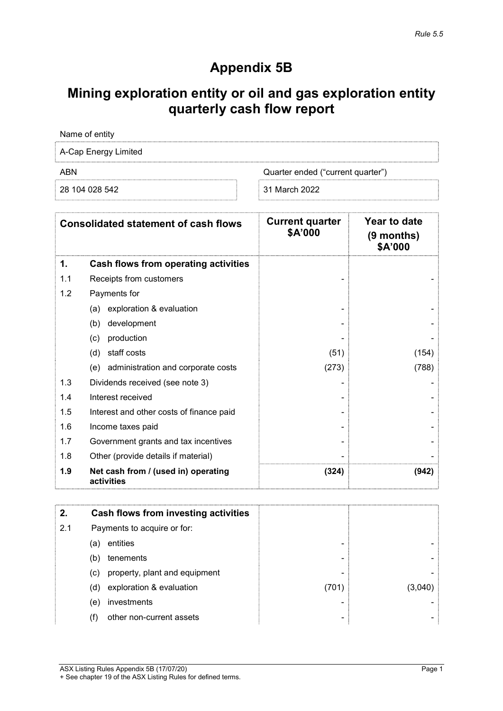## Appendix 5B

# Mining exploration entity or oil and gas exploration entity quarterly cash flow report

| Name of entity       |                                   |
|----------------------|-----------------------------------|
| A-Cap Energy Limited |                                   |
| ABN                  | Quarter ended ("current quarter") |
| 28 104 028 542       | 31 March 2022                     |

|     | <b>Consolidated statement of cash flows</b>       | <b>Current quarter</b><br>\$A'000 | Year to date<br>$(9$ months)<br>\$A'000 |
|-----|---------------------------------------------------|-----------------------------------|-----------------------------------------|
| 1.  | <b>Cash flows from operating activities</b>       |                                   |                                         |
| 1.1 | Receipts from customers                           |                                   |                                         |
| 1.2 | Payments for                                      |                                   |                                         |
|     | exploration & evaluation<br>(a)                   |                                   |                                         |
|     | development<br>(b)                                |                                   |                                         |
|     | production<br>(c)                                 |                                   |                                         |
|     | staff costs<br>(d)                                | (51)                              | (154)                                   |
|     | administration and corporate costs<br>(e)         | (273)                             | (788)                                   |
| 1.3 | Dividends received (see note 3)                   |                                   |                                         |
| 1.4 | Interest received                                 |                                   |                                         |
| 1.5 | Interest and other costs of finance paid          |                                   |                                         |
| 1.6 | Income taxes paid                                 |                                   |                                         |
| 1.7 | Government grants and tax incentives              |                                   |                                         |
| 1.8 | Other (provide details if material)               |                                   |                                         |
| 1.9 | Net cash from / (used in) operating<br>activities | (324)                             | (942)                                   |

| 2.  | Cash flows from investing activities |       |  |
|-----|--------------------------------------|-------|--|
| 2.1 | Payments to acquire or for:          |       |  |
|     | entities<br>(a)                      | -     |  |
|     | tenements<br>(b)                     | -     |  |
|     | property, plant and equipment<br>(c) | -     |  |
|     | exploration & evaluation<br>(d)      | (701) |  |
|     | investments<br>(e)                   | -     |  |
|     | other non-current assets             | ۰     |  |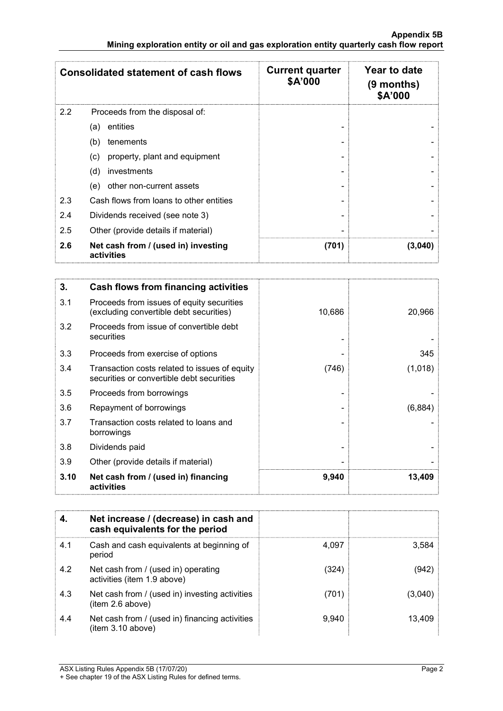|     | <b>Consolidated statement of cash flows</b>       | <b>Current quarter</b><br>\$A'000 | Year to date<br>(9 months)<br>\$A'000 |
|-----|---------------------------------------------------|-----------------------------------|---------------------------------------|
| 2.2 | Proceeds from the disposal of:                    |                                   |                                       |
|     | entities<br>(a)                                   |                                   |                                       |
|     | (b)<br>tenements                                  |                                   |                                       |
|     | property, plant and equipment<br>(c)              |                                   |                                       |
|     | (d)<br>investments                                |                                   |                                       |
|     | other non-current assets<br>(e)                   |                                   |                                       |
| 2.3 | Cash flows from loans to other entities           |                                   |                                       |
| 2.4 | Dividends received (see note 3)                   |                                   |                                       |
| 2.5 | Other (provide details if material)               |                                   |                                       |
| 2.6 | Net cash from / (used in) investing<br>activities | (701)                             | (3,040)                               |

| 3.   | Cash flows from financing activities                                                       |        |         |
|------|--------------------------------------------------------------------------------------------|--------|---------|
| 3.1  | Proceeds from issues of equity securities<br>(excluding convertible debt securities)       | 10,686 | 20,966  |
| 3.2  | Proceeds from issue of convertible debt<br>securities                                      |        |         |
| 3.3  | Proceeds from exercise of options                                                          |        | 345     |
| 3.4  | Transaction costs related to issues of equity<br>securities or convertible debt securities | (746)  | (1,018) |
| 3.5  | Proceeds from borrowings                                                                   |        |         |
| 3.6  | Repayment of borrowings                                                                    |        | (6,884) |
| 3.7  | Transaction costs related to loans and<br>borrowings                                       |        |         |
| 3.8  | Dividends paid                                                                             |        |         |
| 3.9  | Other (provide details if material)                                                        |        |         |
| 3.10 | Net cash from / (used in) financing<br>activities                                          | 9,940  | 13,409  |

|     | Net increase / (decrease) in cash and<br>cash equivalents for the period |       |         |
|-----|--------------------------------------------------------------------------|-------|---------|
| 4.1 | Cash and cash equivalents at beginning of<br>period                      | 4.097 | 3,584   |
| 4.2 | Net cash from / (used in) operating<br>activities (item 1.9 above)       | (324) | (942)   |
| 4.3 | Net cash from / (used in) investing activities<br>(item 2.6 above)       | (701) | (3,040) |
| 4.4 | Net cash from / (used in) financing activities<br>(item 3.10 above)      | 9,940 | 13,409  |

<sup>+</sup> See chapter 19 of the ASX Listing Rules for defined terms.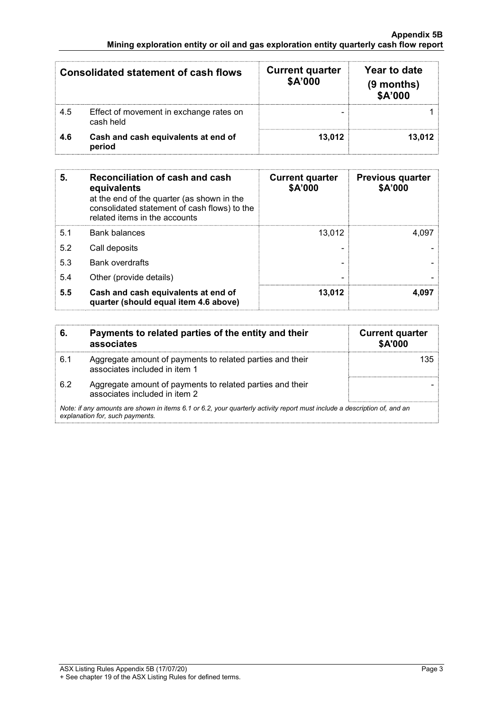| <b>Consolidated statement of cash flows</b> |                                                      | <b>Current quarter</b><br>\$A'000 | Year to date<br>(9 months)<br>\$A'000 |
|---------------------------------------------|------------------------------------------------------|-----------------------------------|---------------------------------------|
| 4.5                                         | Effect of movement in exchange rates on<br>cash held |                                   |                                       |
| 4.6                                         | Cash and cash equivalents at end of<br>period        | 13.012                            | 13.012                                |

| 5.  | <b>Reconciliation of cash and cash</b><br>equivalents<br>at the end of the quarter (as shown in the<br>consolidated statement of cash flows) to the<br>related items in the accounts | <b>Current quarter</b><br>\$A'000 | <b>Previous quarter</b><br>\$A'000 |
|-----|--------------------------------------------------------------------------------------------------------------------------------------------------------------------------------------|-----------------------------------|------------------------------------|
| 5.1 | <b>Bank balances</b>                                                                                                                                                                 | 13.012                            | 4.097                              |
| 5.2 | Call deposits                                                                                                                                                                        |                                   |                                    |
| 5.3 | <b>Bank overdrafts</b>                                                                                                                                                               |                                   |                                    |
| 5.4 | Other (provide details)                                                                                                                                                              |                                   |                                    |
| 5.5 | Cash and cash equivalents at end of<br>quarter (should equal item 4.6 above)                                                                                                         | 13.012                            | 4.097                              |

| 6.  | Payments to related parties of the entity and their<br>associates                                                                                           | <b>Current quarter</b><br><b>\$A'000</b> |
|-----|-------------------------------------------------------------------------------------------------------------------------------------------------------------|------------------------------------------|
| 6.1 | Aggregate amount of payments to related parties and their<br>associates included in item 1                                                                  | 135.                                     |
| 6.2 | Aggregate amount of payments to related parties and their<br>associates included in item 2                                                                  |                                          |
|     | Note: if any amounts are shown in items 6.1 or 6.2, your quarterly activity report must include a description of, and an<br>explanation for, such payments. |                                          |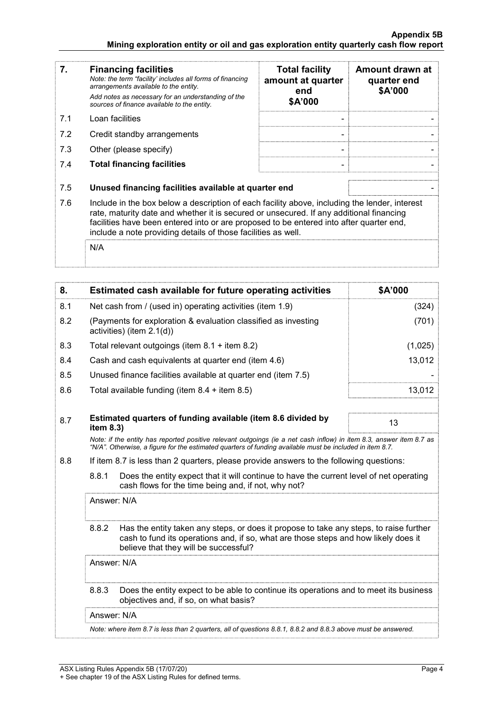| 7.  | <b>Financing facilities</b><br>Note: the term "facility' includes all forms of financing<br>arrangements available to the entity.<br>Add notes as necessary for an understanding of the<br>sources of finance available to the entity.                                                                                                               | <b>Total facility</b><br>amount at quarter<br>end<br>\$A'000 | Amount drawn at<br>quarter end<br>\$A'000 |
|-----|------------------------------------------------------------------------------------------------------------------------------------------------------------------------------------------------------------------------------------------------------------------------------------------------------------------------------------------------------|--------------------------------------------------------------|-------------------------------------------|
| 7.1 | Loan facilities                                                                                                                                                                                                                                                                                                                                      |                                                              |                                           |
| 7.2 | Credit standby arrangements                                                                                                                                                                                                                                                                                                                          |                                                              |                                           |
| 7.3 | Other (please specify)                                                                                                                                                                                                                                                                                                                               |                                                              |                                           |
| 7.4 | <b>Total financing facilities</b>                                                                                                                                                                                                                                                                                                                    |                                                              |                                           |
| 7.5 | Unused financing facilities available at quarter end                                                                                                                                                                                                                                                                                                 |                                                              |                                           |
| 7.6 | Include in the box below a description of each facility above, including the lender, interest<br>rate, maturity date and whether it is secured or unsecured. If any additional financing<br>facilities have been entered into or are proposed to be entered into after quarter end,<br>include a note providing details of those facilities as well. |                                                              |                                           |
|     | N/A                                                                                                                                                                                                                                                                                                                                                  |                                                              |                                           |

| Net cash from / (used in) operating activities (item 1.9)<br>8.1<br>(324)<br>(701)<br>8.2<br>(Payments for exploration & evaluation classified as investing<br>activities) (item 2.1(d))<br>8.3<br>Total relevant outgoings (item $8.1 +$ item $8.2$ )<br>(1,025)<br>Cash and cash equivalents at quarter end (item 4.6)<br>13,012<br>8.4<br>Unused finance facilities available at quarter end (item 7.5)<br>8.5<br>Total available funding (item $8.4 +$ item $8.5$ )<br>13,012<br>8.6<br>Estimated quarters of funding available (item 8.6 divided by<br>8.7<br>13<br>item 8.3)<br>Note: if the entity has reported positive relevant outgoings (ie a net cash inflow) in item 8.3, answer item 8.7 as<br>"N/A". Otherwise, a figure for the estimated quarters of funding available must be included in item 8.7.<br>8.8<br>If item 8.7 is less than 2 quarters, please provide answers to the following questions:<br>8.8.1<br>Does the entity expect that it will continue to have the current level of net operating<br>cash flows for the time being and, if not, why not?<br>Answer: N/A<br>8.8.2<br>Has the entity taken any steps, or does it propose to take any steps, to raise further<br>cash to fund its operations and, if so, what are those steps and how likely does it<br>believe that they will be successful?<br>Answer: N/A<br>8.8.3<br>Does the entity expect to be able to continue its operations and to meet its business<br>objectives and, if so, on what basis?<br>Answer: N/A<br>Note: where item 8.7 is less than 2 quarters, all of questions 8.8.1, 8.8.2 and 8.8.3 above must be answered. | 8. |  | Estimated cash available for future operating activities | \$A'000 |  |
|--------------------------------------------------------------------------------------------------------------------------------------------------------------------------------------------------------------------------------------------------------------------------------------------------------------------------------------------------------------------------------------------------------------------------------------------------------------------------------------------------------------------------------------------------------------------------------------------------------------------------------------------------------------------------------------------------------------------------------------------------------------------------------------------------------------------------------------------------------------------------------------------------------------------------------------------------------------------------------------------------------------------------------------------------------------------------------------------------------------------------------------------------------------------------------------------------------------------------------------------------------------------------------------------------------------------------------------------------------------------------------------------------------------------------------------------------------------------------------------------------------------------------------------------------------------------------------------------------------------------------------|----|--|----------------------------------------------------------|---------|--|
|                                                                                                                                                                                                                                                                                                                                                                                                                                                                                                                                                                                                                                                                                                                                                                                                                                                                                                                                                                                                                                                                                                                                                                                                                                                                                                                                                                                                                                                                                                                                                                                                                                |    |  |                                                          |         |  |
|                                                                                                                                                                                                                                                                                                                                                                                                                                                                                                                                                                                                                                                                                                                                                                                                                                                                                                                                                                                                                                                                                                                                                                                                                                                                                                                                                                                                                                                                                                                                                                                                                                |    |  |                                                          |         |  |
|                                                                                                                                                                                                                                                                                                                                                                                                                                                                                                                                                                                                                                                                                                                                                                                                                                                                                                                                                                                                                                                                                                                                                                                                                                                                                                                                                                                                                                                                                                                                                                                                                                |    |  |                                                          |         |  |
|                                                                                                                                                                                                                                                                                                                                                                                                                                                                                                                                                                                                                                                                                                                                                                                                                                                                                                                                                                                                                                                                                                                                                                                                                                                                                                                                                                                                                                                                                                                                                                                                                                |    |  |                                                          |         |  |
|                                                                                                                                                                                                                                                                                                                                                                                                                                                                                                                                                                                                                                                                                                                                                                                                                                                                                                                                                                                                                                                                                                                                                                                                                                                                                                                                                                                                                                                                                                                                                                                                                                |    |  |                                                          |         |  |
|                                                                                                                                                                                                                                                                                                                                                                                                                                                                                                                                                                                                                                                                                                                                                                                                                                                                                                                                                                                                                                                                                                                                                                                                                                                                                                                                                                                                                                                                                                                                                                                                                                |    |  |                                                          |         |  |
|                                                                                                                                                                                                                                                                                                                                                                                                                                                                                                                                                                                                                                                                                                                                                                                                                                                                                                                                                                                                                                                                                                                                                                                                                                                                                                                                                                                                                                                                                                                                                                                                                                |    |  |                                                          |         |  |
|                                                                                                                                                                                                                                                                                                                                                                                                                                                                                                                                                                                                                                                                                                                                                                                                                                                                                                                                                                                                                                                                                                                                                                                                                                                                                                                                                                                                                                                                                                                                                                                                                                |    |  |                                                          |         |  |
|                                                                                                                                                                                                                                                                                                                                                                                                                                                                                                                                                                                                                                                                                                                                                                                                                                                                                                                                                                                                                                                                                                                                                                                                                                                                                                                                                                                                                                                                                                                                                                                                                                |    |  |                                                          |         |  |
|                                                                                                                                                                                                                                                                                                                                                                                                                                                                                                                                                                                                                                                                                                                                                                                                                                                                                                                                                                                                                                                                                                                                                                                                                                                                                                                                                                                                                                                                                                                                                                                                                                |    |  |                                                          |         |  |
|                                                                                                                                                                                                                                                                                                                                                                                                                                                                                                                                                                                                                                                                                                                                                                                                                                                                                                                                                                                                                                                                                                                                                                                                                                                                                                                                                                                                                                                                                                                                                                                                                                |    |  |                                                          |         |  |
|                                                                                                                                                                                                                                                                                                                                                                                                                                                                                                                                                                                                                                                                                                                                                                                                                                                                                                                                                                                                                                                                                                                                                                                                                                                                                                                                                                                                                                                                                                                                                                                                                                |    |  |                                                          |         |  |
|                                                                                                                                                                                                                                                                                                                                                                                                                                                                                                                                                                                                                                                                                                                                                                                                                                                                                                                                                                                                                                                                                                                                                                                                                                                                                                                                                                                                                                                                                                                                                                                                                                |    |  |                                                          |         |  |
|                                                                                                                                                                                                                                                                                                                                                                                                                                                                                                                                                                                                                                                                                                                                                                                                                                                                                                                                                                                                                                                                                                                                                                                                                                                                                                                                                                                                                                                                                                                                                                                                                                |    |  |                                                          |         |  |
|                                                                                                                                                                                                                                                                                                                                                                                                                                                                                                                                                                                                                                                                                                                                                                                                                                                                                                                                                                                                                                                                                                                                                                                                                                                                                                                                                                                                                                                                                                                                                                                                                                |    |  |                                                          |         |  |
|                                                                                                                                                                                                                                                                                                                                                                                                                                                                                                                                                                                                                                                                                                                                                                                                                                                                                                                                                                                                                                                                                                                                                                                                                                                                                                                                                                                                                                                                                                                                                                                                                                |    |  |                                                          |         |  |
|                                                                                                                                                                                                                                                                                                                                                                                                                                                                                                                                                                                                                                                                                                                                                                                                                                                                                                                                                                                                                                                                                                                                                                                                                                                                                                                                                                                                                                                                                                                                                                                                                                |    |  |                                                          |         |  |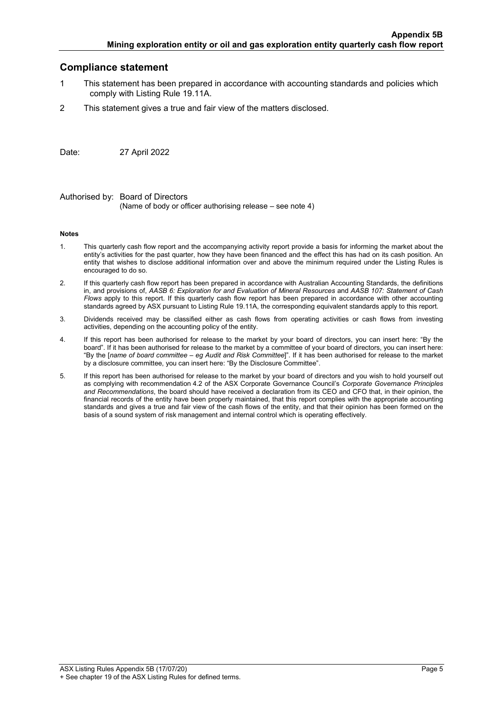### Compliance statement

- 1 This statement has been prepared in accordance with accounting standards and policies which comply with Listing Rule 19.11A.
- 2 This statement gives a true and fair view of the matters disclosed.

Date: 27 April 2022

Authorised by: Board of Directors (Name of body or officer authorising release – see note 4)

#### Notes

- 1. This quarterly cash flow report and the accompanying activity report provide a basis for informing the market about the entity's activities for the past quarter, how they have been financed and the effect this has had on its cash position. An entity that wishes to disclose additional information over and above the minimum required under the Listing Rules is encouraged to do so.
- 2. If this quarterly cash flow report has been prepared in accordance with Australian Accounting Standards, the definitions in, and provisions of, AASB 6: Exploration for and Evaluation of Mineral Resources and AASB 107: Statement of Cash Flows apply to this report. If this quarterly cash flow report has been prepared in accordance with other accounting standards agreed by ASX pursuant to Listing Rule 19.11A, the corresponding equivalent standards apply to this report.
- 3. Dividends received may be classified either as cash flows from operating activities or cash flows from investing activities, depending on the accounting policy of the entity.
- 4. If this report has been authorised for release to the market by your board of directors, you can insert here: "By the board". If it has been authorised for release to the market by a committee of your board of directors, you can insert here: "By the [name of board committee – eg Audit and Risk Committee]". If it has been authorised for release to the market by a disclosure committee, you can insert here: "By the Disclosure Committee".
- 5. If this report has been authorised for release to the market by your board of directors and you wish to hold yourself out as complying with recommendation 4.2 of the ASX Corporate Governance Council's Corporate Governance Principles and Recommendations, the board should have received a declaration from its CEO and CFO that, in their opinion, the financial records of the entity have been properly maintained, that this report complies with the appropriate accounting standards and gives a true and fair view of the cash flows of the entity, and that their opinion has been formed on the basis of a sound system of risk management and internal control which is operating effectively.